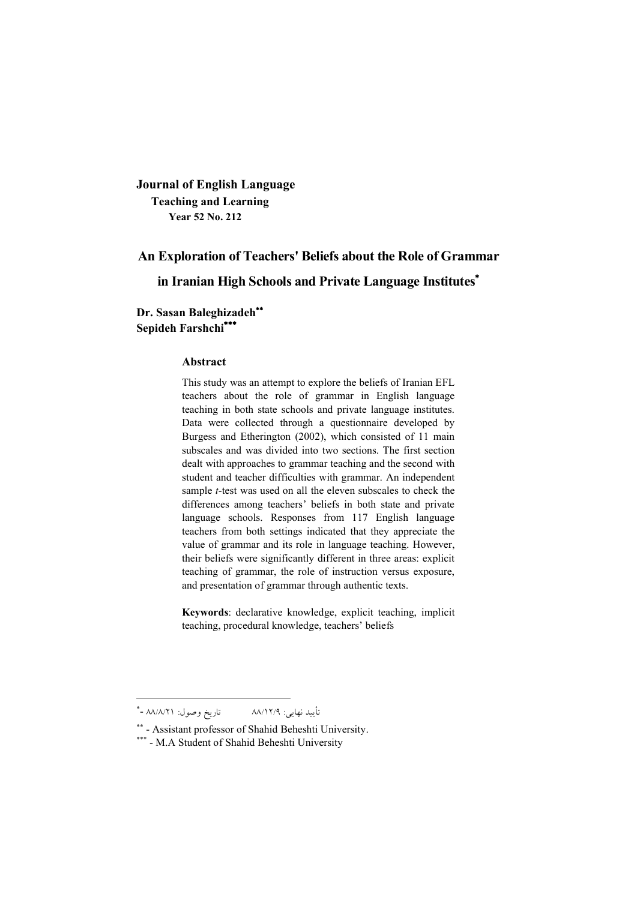**Journal of English Language Teaching and Learning Year 52 No. 212**

# **An Exploration of Teachers' Beliefs about the Role of Grammar in Iranian High Schools and Private Language Institutes**

**Dr. Sasan Baleghizadeh Sepideh Farshchi**

#### **Abstract**

This study was an attempt to explore the beliefs of Iranian EFL teachers about the role of grammar in English language teaching in both state schools and private language institutes. Data were collected through a questionnaire developed by Burgess and Etherington (2002), which consisted of 11 main subscales and was divided into two sections. The first section dealt with approaches to grammar teaching and the second with student and teacher difficulties with grammar. An independent sample *t*-test was used on all the eleven subscales to check the differences among teachers' beliefs in both state and private language schools. Responses from 117 English language teachers from both settings indicated that they appreciate the value of grammar and its role in language teaching. However, their beliefs were significantly different in three areas: explicit teaching of grammar, the role of instruction versus exposure, and presentation of grammar through authentic texts.

**Keywords**: declarative knowledge, explicit teaching, implicit teaching, procedural knowledge, teachers' beliefs

 تأیید نهایی :9/ 88/12 تاریخ وصول: 21 /8/ 88 -

- Assistant professor of Shahid Beheshti University.

<sup>\*\*\* -</sup> M.A Student of Shahid Beheshti University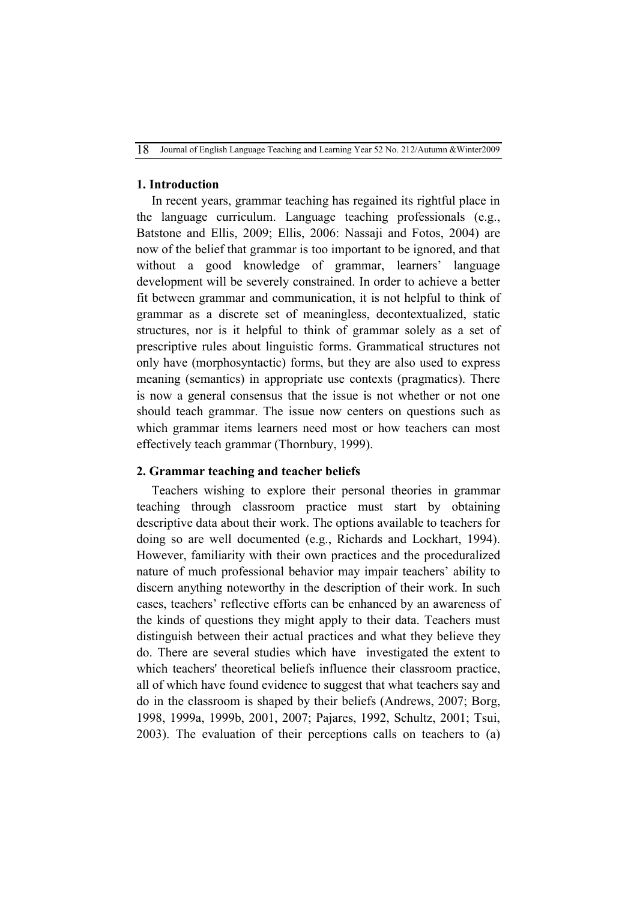18Journal of English Language Teaching and Learning Year 52 No. 212/Autumn &Winter2009

# **1. Introduction**

In recent years, grammar teaching has regained its rightful place in the language curriculum. Language teaching professionals (e.g., Batstone and Ellis, 2009; Ellis, 2006: Nassaji and Fotos, 2004) are now of the belief that grammar is too important to be ignored, and that without a good knowledge of grammar, learners' language development will be severely constrained. In order to achieve a better fit between grammar and communication, it is not helpful to think of grammar as a discrete set of meaningless, decontextualized, static structures, nor is it helpful to think of grammar solely as a set of prescriptive rules about linguistic forms. Grammatical structures not only have (morphosyntactic) forms, but they are also used to express meaning (semantics) in appropriate use contexts (pragmatics). There is now a general consensus that the issue is not whether or not one should teach grammar. The issue now centers on questions such as which grammar items learners need most or how teachers can most effectively teach grammar (Thornbury, 1999).

# **2. Grammar teaching and teacher beliefs**

Teachers wishing to explore their personal theories in grammar teaching through classroom practice must start by obtaining descriptive data about their work. The options available to teachers for doing so are well documented (e.g., Richards and Lockhart, 1994). However, familiarity with their own practices and the proceduralized nature of much professional behavior may impair teachers' ability to discern anything noteworthy in the description of their work. In such cases, teachers' reflective efforts can be enhanced by an awareness of the kinds of questions they might apply to their data. Teachers must distinguish between their actual practices and what they believe they do. There are several studies which have investigated the extent to which teachers' theoretical beliefs influence their classroom practice, all of which have found evidence to suggest that what teachers say and do in the classroom is shaped by their beliefs (Andrews, 2007; Borg, 1998, 1999a, 1999b, 2001, 2007; Pajares, 1992, Schultz, 2001; Tsui, 2003). The evaluation of their perceptions calls on teachers to (a)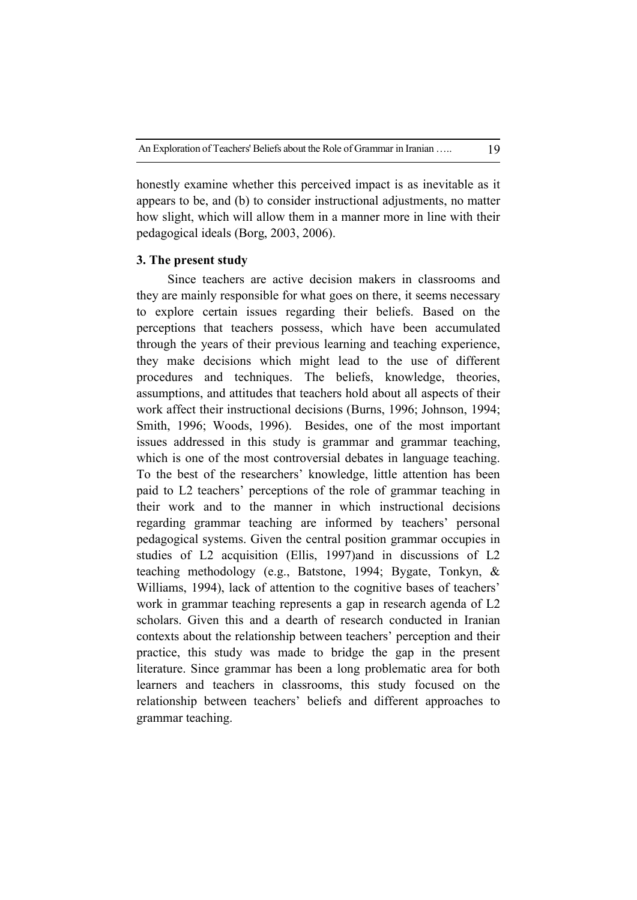honestly examine whether this perceived impact is as inevitable as it appears to be, and (b) to consider instructional adjustments, no matter how slight, which will allow them in a manner more in line with their pedagogical ideals (Borg, 2003, 2006).

# **3. The present study**

Since teachers are active decision makers in classrooms and they are mainly responsible for what goes on there, it seems necessary to explore certain issues regarding their beliefs. Based on the perceptions that teachers possess, which have been accumulated through the years of their previous learning and teaching experience, they make decisions which might lead to the use of different procedures and techniques. The beliefs, knowledge, theories, assumptions, and attitudes that teachers hold about all aspects of their work affect their instructional decisions (Burns, 1996; Johnson, 1994; Smith, 1996; Woods, 1996). Besides, one of the most important issues addressed in this study is grammar and grammar teaching, which is one of the most controversial debates in language teaching. To the best of the researchers' knowledge, little attention has been paid to L2 teachers' perceptions of the role of grammar teaching in their work and to the manner in which instructional decisions regarding grammar teaching are informed by teachers' personal pedagogical systems. Given the central position grammar occupies in studies of L2 acquisition (Ellis, 1997)and in discussions of L2 teaching methodology (e.g., Batstone, 1994; Bygate, Tonkyn, & Williams, 1994), lack of attention to the cognitive bases of teachers' work in grammar teaching represents a gap in research agenda of L2 scholars. Given this and a dearth of research conducted in Iranian contexts about the relationship between teachers' perception and their practice, this study was made to bridge the gap in the present literature. Since grammar has been a long problematic area for both learners and teachers in classrooms, this study focused on the relationship between teachers' beliefs and different approaches to grammar teaching.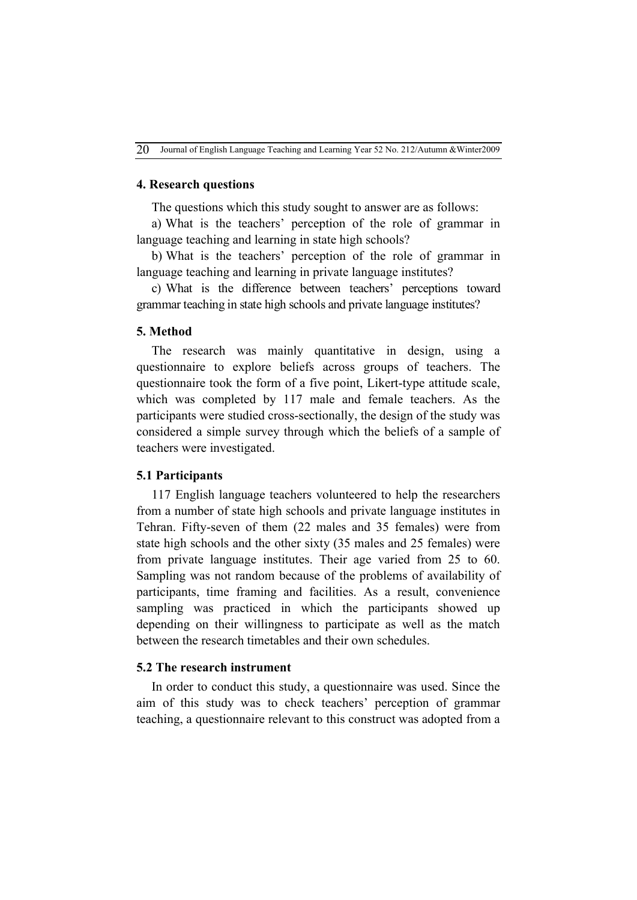# **4. Research questions**

The questions which this study sought to answer are as follows:

a) What is the teachers' perception of the role of grammar in language teaching and learning in state high schools?

b) What is the teachers' perception of the role of grammar in language teaching and learning in private language institutes?

c) What is the difference between teachers' perceptions toward grammar teaching in state high schools and private language institutes?

### **5. Method**

The research was mainly quantitative in design, using a questionnaire to explore beliefs across groups of teachers. The questionnaire took the form of a five point, Likert-type attitude scale, which was completed by 117 male and female teachers. As the participants were studied cross-sectionally, the design of the study was considered a simple survey through which the beliefs of a sample of teachers were investigated.

# **5.1 Participants**

117 English language teachers volunteered to help the researchers from a number of state high schools and private language institutes in Tehran. Fifty-seven of them (22 males and 35 females) were from state high schools and the other sixty (35 males and 25 females) were from private language institutes. Their age varied from 25 to 60. Sampling was not random because of the problems of availability of participants, time framing and facilities. As a result, convenience sampling was practiced in which the participants showed up depending on their willingness to participate as well as the match between the research timetables and their own schedules.

# **5.2 The research instrument**

In order to conduct this study, a questionnaire was used. Since the aim of this study was to check teachers' perception of grammar teaching, a questionnaire relevant to this construct was adopted from a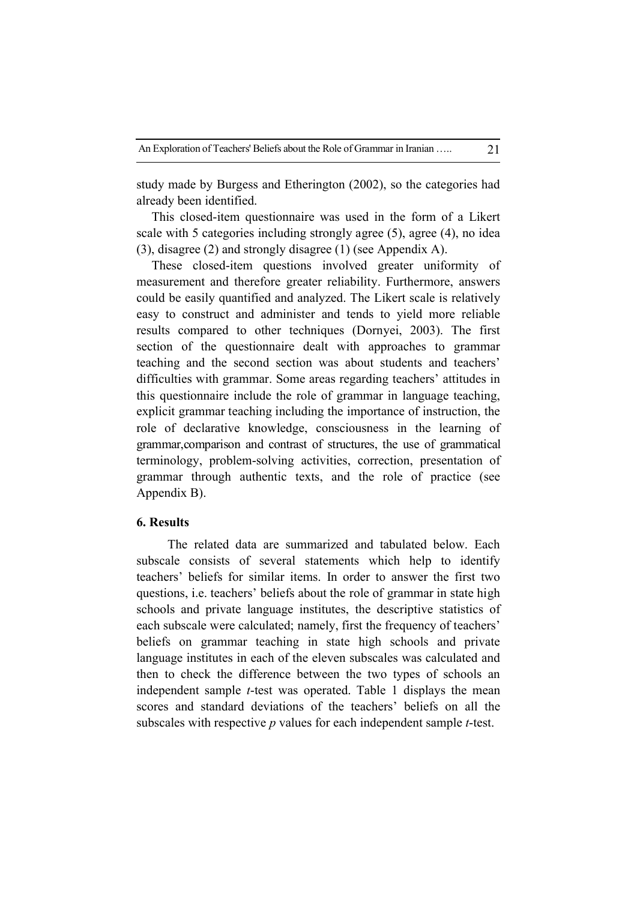study made by Burgess and Etherington (2002), so the categories had already been identified.

This closed-item questionnaire was used in the form of a Likert scale with 5 categories including strongly agree (5), agree (4), no idea (3), disagree (2) and strongly disagree (1) (see Appendix A).

These closed-item questions involved greater uniformity of measurement and therefore greater reliability. Furthermore, answers could be easily quantified and analyzed. The Likert scale is relatively easy to construct and administer and tends to yield more reliable results compared to other techniques (Dornyei, 2003). The first section of the questionnaire dealt with approaches to grammar teaching and the second section was about students and teachers' difficulties with grammar. Some areas regarding teachers' attitudes in this questionnaire include the role of grammar in language teaching, explicit grammar teaching including the importance of instruction, the role of declarative knowledge, consciousness in the learning of grammar,comparison and contrast of structures, the use of grammatical terminology, problem-solving activities, correction, presentation of grammar through authentic texts, and the role of practice (see Appendix B).

# **6. Results**

 The related data are summarized and tabulated below. Each subscale consists of several statements which help to identify teachers' beliefs for similar items. In order to answer the first two questions, i.e. teachers' beliefs about the role of grammar in state high schools and private language institutes, the descriptive statistics of each subscale were calculated; namely, first the frequency of teachers' beliefs on grammar teaching in state high schools and private language institutes in each of the eleven subscales was calculated and then to check the difference between the two types of schools an independent sample *t*-test was operated. Table 1 displays the mean scores and standard deviations of the teachers' beliefs on all the subscales with respective *p* values for each independent sample *t*-test.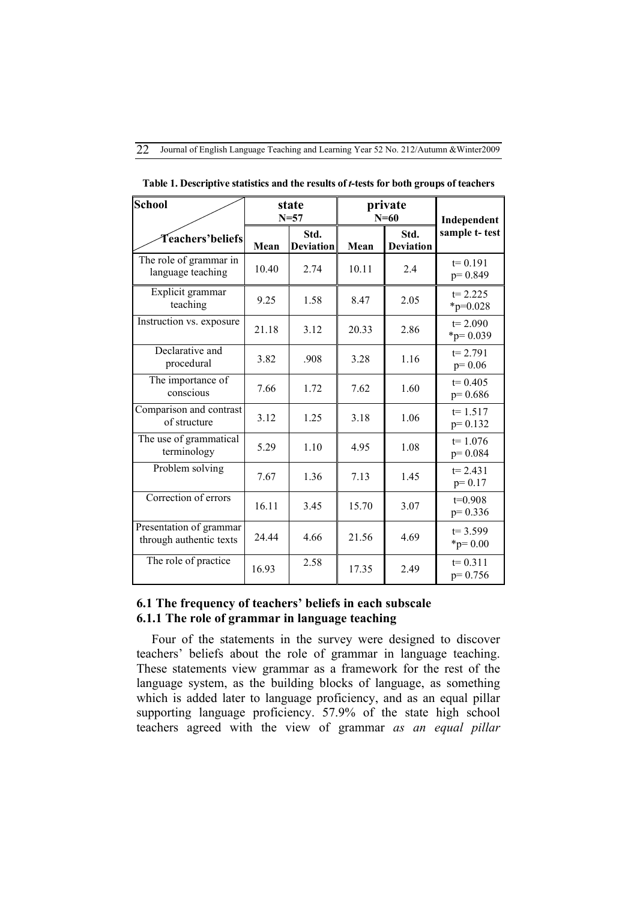| <b>School</b>                                      |       | private<br>state<br>$N=60$<br>$N = 57$ |       | Independent              |                                 |
|----------------------------------------------------|-------|----------------------------------------|-------|--------------------------|---------------------------------|
| Teachers'beliefs                                   | Mean  | Std.<br><b>Deviation</b>               | Mean  | Std.<br><b>Deviation</b> | sample t- test                  |
| The role of grammar in<br>language teaching        | 10.40 | 2.74                                   | 10.11 | 2.4                      | $t = 0.191$<br>$p=0.849$        |
| Explicit grammar<br>teaching                       | 9.25  | 1.58                                   | 8.47  | 2.05                     | $t = 2.225$<br>$*_{p=0.028}$    |
| Instruction vs. exposure                           | 21.18 | 3.12                                   | 20.33 | 2.86                     | $t = 2.090$<br>${}^*p = 0.039$  |
| Declarative and<br>procedural                      | 3.82  | .908                                   | 3.28  | 1.16                     | $t = 2.791$<br>$p=0.06$         |
| The importance of<br>conscious                     | 7.66  | 1.72                                   | 7.62  | 1.60                     | $t = 0.405$<br>$p=0.686$        |
| Comparison and contrast<br>of structure            | 3.12  | 1.25                                   | 3.18  | 1.06                     | $t = 1.517$<br>$p=0.132$        |
| The use of grammatical<br>terminology              | 5.29  | 1.10                                   | 4.95  | 1.08                     | $t = 1.076$<br>$p=0.084$        |
| Problem solving                                    | 7.67  | 1.36                                   | 7.13  | 1.45                     | $t = 2.431$<br>$p=0.17$         |
| Correction of errors                               | 16.11 | 3.45                                   | 15.70 | 3.07                     | $t=0.908$<br>$p=0.336$          |
| Presentation of grammar<br>through authentic texts | 24.44 | 4.66                                   | 21.56 | 4.69                     | $t = 3.599$<br>$_{\rm sp=0.00}$ |
| The role of practice                               | 16.93 | 2.58                                   | 17.35 | 2.49                     | $t = 0.311$<br>$p=0.756$        |

| Table 1. Descriptive statistics and the results of <i>t</i> -tests for both groups of teachers |  |  |  |  |
|------------------------------------------------------------------------------------------------|--|--|--|--|
|                                                                                                |  |  |  |  |

# **6.1 The frequency of teachers' beliefs in each subscale 6.1.1 The role of grammar in language teaching**

Four of the statements in the survey were designed to discover teachers' beliefs about the role of grammar in language teaching. These statements view grammar as a framework for the rest of the language system, as the building blocks of language, as something which is added later to language proficiency, and as an equal pillar supporting language proficiency. 57.9% of the state high school teachers agreed with the view of grammar *as an equal pillar*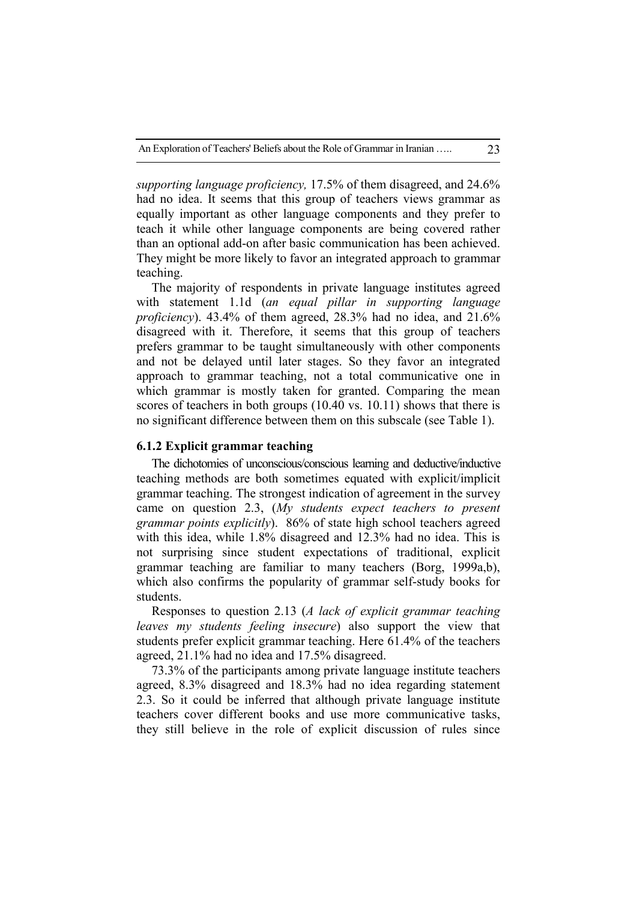*supporting language proficiency,* 17.5% of them disagreed, and 24.6% had no idea. It seems that this group of teachers views grammar as equally important as other language components and they prefer to teach it while other language components are being covered rather than an optional add-on after basic communication has been achieved. They might be more likely to favor an integrated approach to grammar teaching.

The majority of respondents in private language institutes agreed with statement 1.1d (*an equal pillar in supporting language proficiency*). 43.4% of them agreed, 28.3% had no idea, and 21.6% disagreed with it. Therefore, it seems that this group of teachers prefers grammar to be taught simultaneously with other components and not be delayed until later stages. So they favor an integrated approach to grammar teaching, not a total communicative one in which grammar is mostly taken for granted. Comparing the mean scores of teachers in both groups (10.40 vs. 10.11) shows that there is no significant difference between them on this subscale (see Table 1).

### **6.1.2 Explicit grammar teaching**

The dichotomies of unconscious/conscious learning and deductive/inductive teaching methods are both sometimes equated with explicit/implicit grammar teaching. The strongest indication of agreement in the survey came on question 2.3, (*My students expect teachers to present grammar points explicitly*). 86% of state high school teachers agreed with this idea, while 1.8% disagreed and 12.3% had no idea. This is not surprising since student expectations of traditional, explicit grammar teaching are familiar to many teachers (Borg, 1999a,b), which also confirms the popularity of grammar self-study books for students.

Responses to question 2.13 (*A lack of explicit grammar teaching leaves my students feeling insecure*) also support the view that students prefer explicit grammar teaching. Here 61.4% of the teachers agreed, 21.1% had no idea and 17.5% disagreed.

73.3% of the participants among private language institute teachers agreed, 8.3% disagreed and 18.3% had no idea regarding statement 2.3. So it could be inferred that although private language institute teachers cover different books and use more communicative tasks, they still believe in the role of explicit discussion of rules since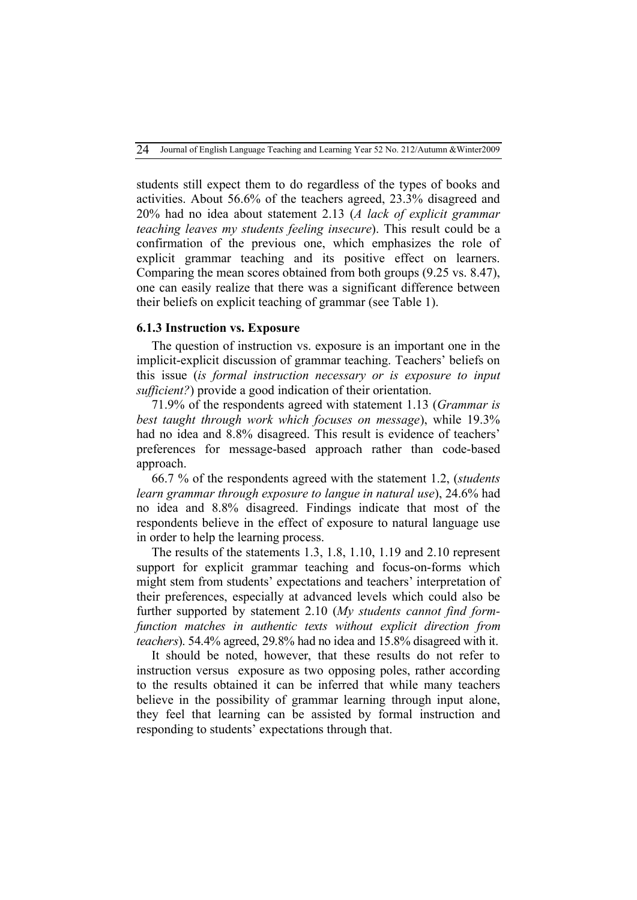students still expect them to do regardless of the types of books and activities. About 56.6% of the teachers agreed, 23.3% disagreed and 20% had no idea about statement 2.13 (*A lack of explicit grammar teaching leaves my students feeling insecure*). This result could be a confirmation of the previous one, which emphasizes the role of explicit grammar teaching and its positive effect on learners. Comparing the mean scores obtained from both groups (9.25 vs. 8.47), one can easily realize that there was a significant difference between their beliefs on explicit teaching of grammar (see Table 1).

### **6.1.3 Instruction vs. Exposure**

The question of instruction vs. exposure is an important one in the implicit-explicit discussion of grammar teaching. Teachers' beliefs on this issue (*is formal instruction necessary or is exposure to input sufficient?*) provide a good indication of their orientation.

71.9% of the respondents agreed with statement 1.13 (*Grammar is best taught through work which focuses on message*), while 19.3% had no idea and 8.8% disagreed. This result is evidence of teachers' preferences for message-based approach rather than code-based approach.

66.7 % of the respondents agreed with the statement 1.2, (*students learn grammar through exposure to langue in natural use*), 24.6% had no idea and 8.8% disagreed. Findings indicate that most of the respondents believe in the effect of exposure to natural language use in order to help the learning process.

The results of the statements 1.3, 1.8, 1.10, 1.19 and 2.10 represent support for explicit grammar teaching and focus-on-forms which might stem from students' expectations and teachers' interpretation of their preferences, especially at advanced levels which could also be further supported by statement 2.10 (*My students cannot find formfunction matches in authentic texts without explicit direction from teachers*). 54.4% agreed, 29.8% had no idea and 15.8% disagreed with it.

It should be noted, however, that these results do not refer to instruction versus exposure as two opposing poles, rather according to the results obtained it can be inferred that while many teachers believe in the possibility of grammar learning through input alone, they feel that learning can be assisted by formal instruction and responding to students' expectations through that.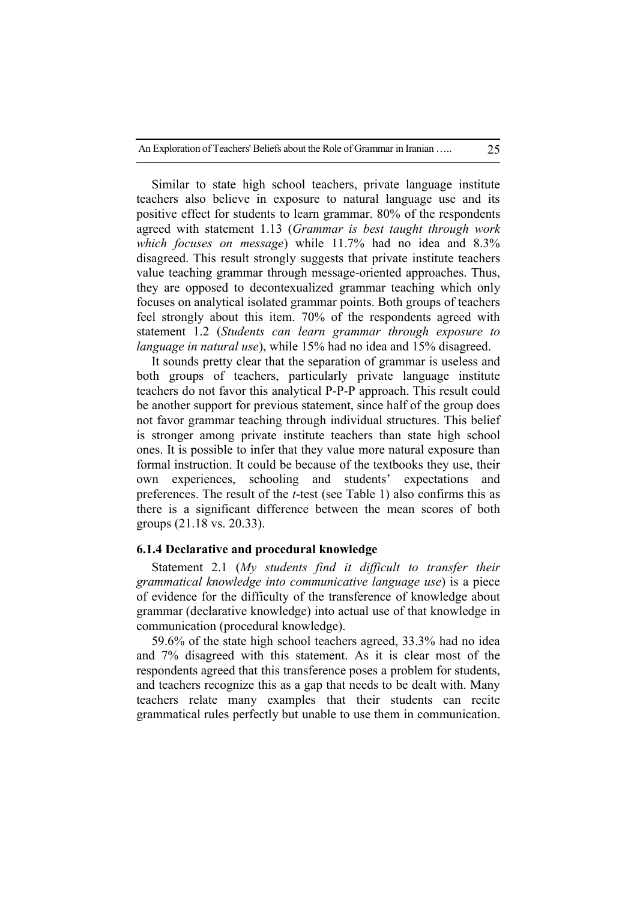Similar to state high school teachers, private language institute teachers also believe in exposure to natural language use and its positive effect for students to learn grammar. 80% of the respondents agreed with statement 1.13 (*Grammar is best taught through work which focuses on message*) while 11.7% had no idea and 8.3% disagreed. This result strongly suggests that private institute teachers value teaching grammar through message-oriented approaches. Thus, they are opposed to decontexualized grammar teaching which only focuses on analytical isolated grammar points. Both groups of teachers feel strongly about this item. 70% of the respondents agreed with statement 1.2 (*Students can learn grammar through exposure to language in natural use*), while 15% had no idea and 15% disagreed.

It sounds pretty clear that the separation of grammar is useless and both groups of teachers, particularly private language institute teachers do not favor this analytical P-P-P approach. This result could be another support for previous statement, since half of the group does not favor grammar teaching through individual structures. This belief is stronger among private institute teachers than state high school ones. It is possible to infer that they value more natural exposure than formal instruction. It could be because of the textbooks they use, their own experiences, schooling and students' expectations and preferences. The result of the *t*-test (see Table 1) also confirms this as there is a significant difference between the mean scores of both groups (21.18 vs. 20.33).

# **6.1.4 Declarative and procedural knowledge**

Statement 2.1 (*My students find it difficult to transfer their grammatical knowledge into communicative language use*) is a piece of evidence for the difficulty of the transference of knowledge about grammar (declarative knowledge) into actual use of that knowledge in communication (procedural knowledge).

59.6% of the state high school teachers agreed, 33.3% had no idea and 7% disagreed with this statement. As it is clear most of the respondents agreed that this transference poses a problem for students, and teachers recognize this as a gap that needs to be dealt with. Many teachers relate many examples that their students can recite grammatical rules perfectly but unable to use them in communication.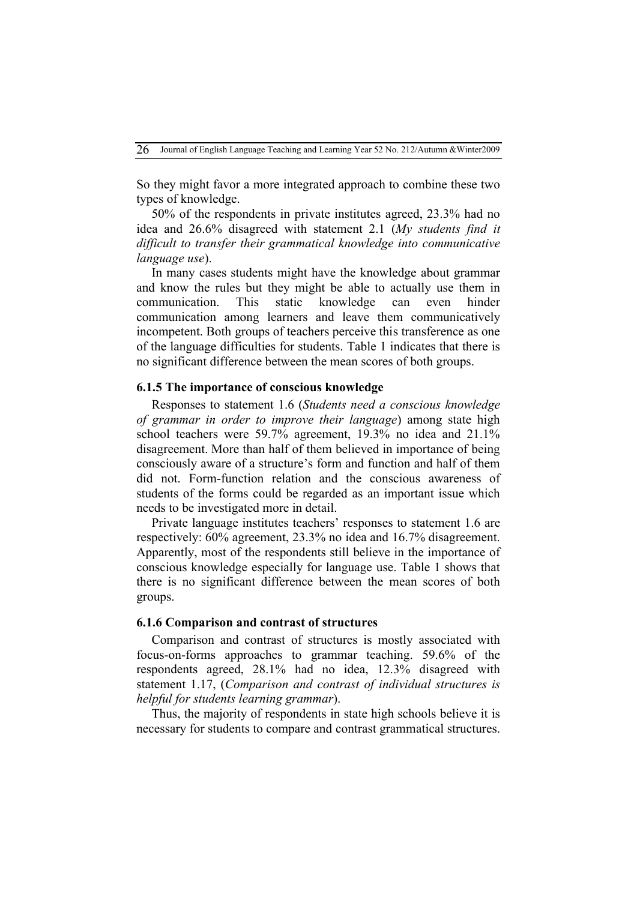So they might favor a more integrated approach to combine these two types of knowledge.

50% of the respondents in private institutes agreed, 23.3% had no idea and 26.6% disagreed with statement 2.1 (*My students find it difficult to transfer their grammatical knowledge into communicative language use*).

In many cases students might have the knowledge about grammar and know the rules but they might be able to actually use them in communication. This static knowledge can even hinder communication among learners and leave them communicatively incompetent. Both groups of teachers perceive this transference as one of the language difficulties for students. Table 1 indicates that there is no significant difference between the mean scores of both groups.

### **6.1.5 The importance of conscious knowledge**

Responses to statement 1.6 (*Students need a conscious knowledge of grammar in order to improve their language*) among state high school teachers were 59.7% agreement, 19.3% no idea and 21.1% disagreement. More than half of them believed in importance of being consciously aware of a structure's form and function and half of them did not. Form-function relation and the conscious awareness of students of the forms could be regarded as an important issue which needs to be investigated more in detail.

Private language institutes teachers' responses to statement 1.6 are respectively: 60% agreement, 23.3% no idea and 16.7% disagreement. Apparently, most of the respondents still believe in the importance of conscious knowledge especially for language use. Table 1 shows that there is no significant difference between the mean scores of both groups.

#### **6.1.6 Comparison and contrast of structures**

Comparison and contrast of structures is mostly associated with focus-on-forms approaches to grammar teaching. 59.6% of the respondents agreed, 28.1% had no idea, 12.3% disagreed with statement 1.17, (*Comparison and contrast of individual structures is helpful for students learning grammar*).

Thus, the majority of respondents in state high schools believe it is necessary for students to compare and contrast grammatical structures.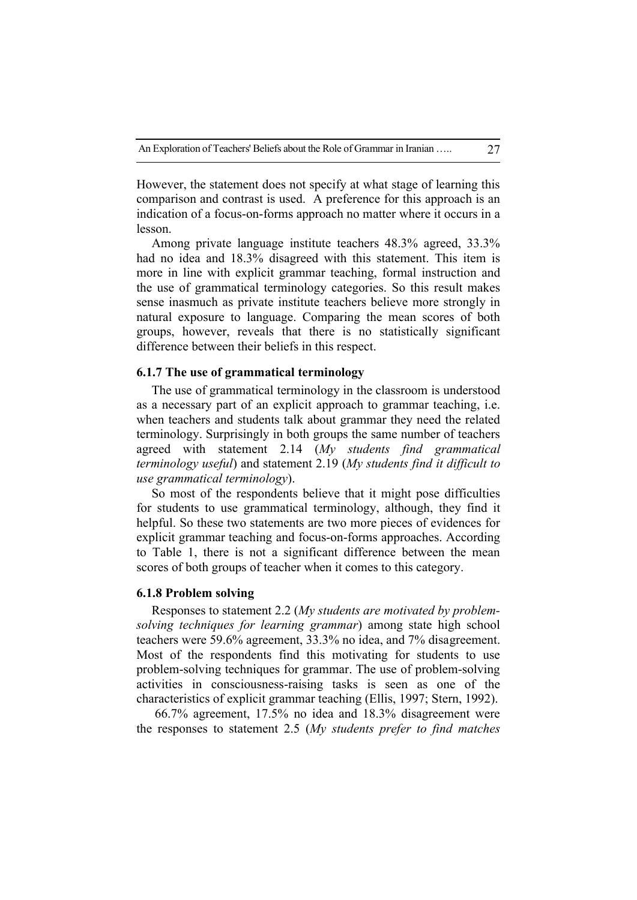However, the statement does not specify at what stage of learning this comparison and contrast is used. A preference for this approach is an indication of a focus-on-forms approach no matter where it occurs in a lesson.

Among private language institute teachers 48.3% agreed, 33.3% had no idea and 18.3% disagreed with this statement. This item is more in line with explicit grammar teaching, formal instruction and the use of grammatical terminology categories. So this result makes sense inasmuch as private institute teachers believe more strongly in natural exposure to language. Comparing the mean scores of both groups, however, reveals that there is no statistically significant difference between their beliefs in this respect.

# **6.1.7 The use of grammatical terminology**

The use of grammatical terminology in the classroom is understood as a necessary part of an explicit approach to grammar teaching, i.e. when teachers and students talk about grammar they need the related terminology. Surprisingly in both groups the same number of teachers agreed with statement 2.14 (*My students find grammatical terminology useful*) and statement 2.19 (*My students find it difficult to use grammatical terminology*).

So most of the respondents believe that it might pose difficulties for students to use grammatical terminology, although, they find it helpful. So these two statements are two more pieces of evidences for explicit grammar teaching and focus-on-forms approaches. According to Table 1, there is not a significant difference between the mean scores of both groups of teacher when it comes to this category.

# **6.1.8 Problem solving**

Responses to statement 2.2 (*My students are motivated by problemsolving techniques for learning grammar*) among state high school teachers were 59.6% agreement, 33.3% no idea, and 7% disagreement. Most of the respondents find this motivating for students to use problem-solving techniques for grammar. The use of problem-solving activities in consciousness-raising tasks is seen as one of the characteristics of explicit grammar teaching (Ellis, 1997; Stern, 1992).

66.7% agreement, 17.5% no idea and 18.3% disagreement were the responses to statement 2.5 (*My students prefer to find matches*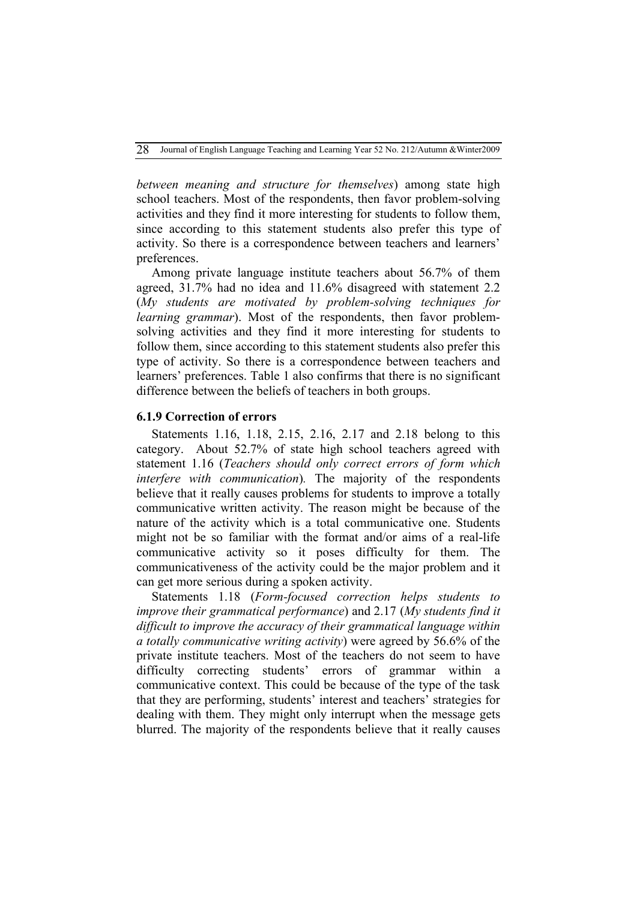*between meaning and structure for themselves*) among state high school teachers. Most of the respondents, then favor problem-solving activities and they find it more interesting for students to follow them, since according to this statement students also prefer this type of activity. So there is a correspondence between teachers and learners' preferences.

Among private language institute teachers about 56.7% of them agreed, 31.7% had no idea and 11.6% disagreed with statement 2.2 (*My students are motivated by problem-solving techniques for learning grammar*). Most of the respondents, then favor problemsolving activities and they find it more interesting for students to follow them, since according to this statement students also prefer this type of activity. So there is a correspondence between teachers and learners' preferences. Table 1 also confirms that there is no significant difference between the beliefs of teachers in both groups.

# **6.1.9 Correction of errors**

Statements 1.16, 1.18, 2.15, 2.16, 2.17 and 2.18 belong to this category. About 52.7% of state high school teachers agreed with statement 1.16 (*Teachers should only correct errors of form which interfere with communication*). The majority of the respondents believe that it really causes problems for students to improve a totally communicative written activity. The reason might be because of the nature of the activity which is a total communicative one. Students might not be so familiar with the format and/or aims of a real-life communicative activity so it poses difficulty for them. The communicativeness of the activity could be the major problem and it can get more serious during a spoken activity.

Statements 1.18 (*Form-focused correction helps students to improve their grammatical performance*) and 2.17 (*My students find it difficult to improve the accuracy of their grammatical language within a totally communicative writing activity*) were agreed by 56.6% of the private institute teachers. Most of the teachers do not seem to have difficulty correcting students' errors of grammar within a communicative context. This could be because of the type of the task that they are performing, students' interest and teachers' strategies for dealing with them. They might only interrupt when the message gets blurred. The majority of the respondents believe that it really causes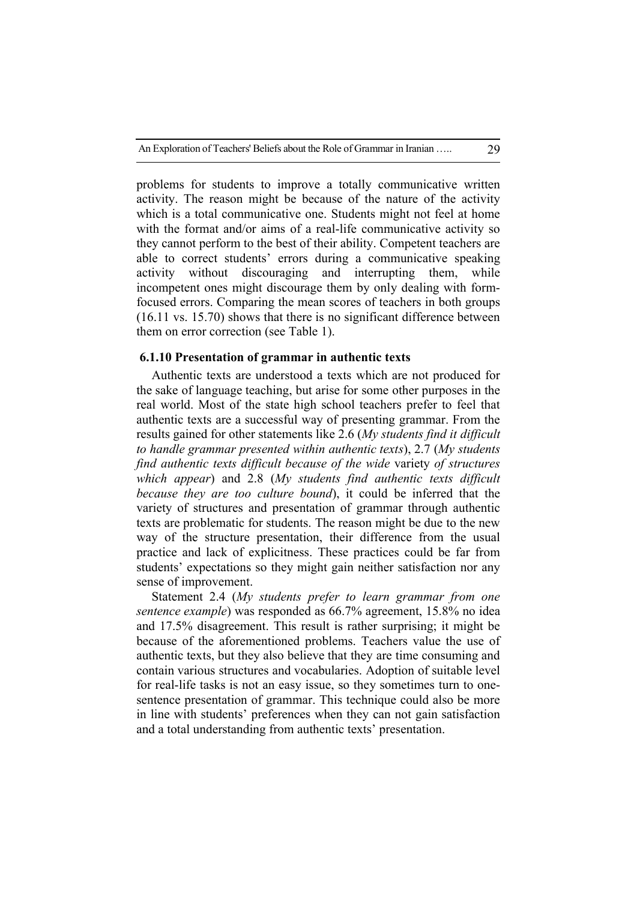problems for students to improve a totally communicative written activity. The reason might be because of the nature of the activity which is a total communicative one. Students might not feel at home with the format and/or aims of a real-life communicative activity so they cannot perform to the best of their ability. Competent teachers are able to correct students' errors during a communicative speaking activity without discouraging and interrupting them, while incompetent ones might discourage them by only dealing with formfocused errors. Comparing the mean scores of teachers in both groups (16.11 vs. 15.70) shows that there is no significant difference between them on error correction (see Table 1).

# **6.1.10 Presentation of grammar in authentic texts**

Authentic texts are understood a texts which are not produced for the sake of language teaching, but arise for some other purposes in the real world. Most of the state high school teachers prefer to feel that authentic texts are a successful way of presenting grammar. From the results gained for other statements like 2.6 (*My students find it difficult to handle grammar presented within authentic texts*), 2.7 (*My students find authentic texts difficult because of the wide* variety *of structures which appear*) and 2.8 (*My students find authentic texts difficult because they are too culture bound*), it could be inferred that the variety of structures and presentation of grammar through authentic texts are problematic for students. The reason might be due to the new way of the structure presentation, their difference from the usual practice and lack of explicitness. These practices could be far from students' expectations so they might gain neither satisfaction nor any sense of improvement.

Statement 2.4 (*My students prefer to learn grammar from one sentence example*) was responded as 66.7% agreement, 15.8% no idea and 17.5% disagreement. This result is rather surprising; it might be because of the aforementioned problems. Teachers value the use of authentic texts, but they also believe that they are time consuming and contain various structures and vocabularies. Adoption of suitable level for real-life tasks is not an easy issue, so they sometimes turn to onesentence presentation of grammar. This technique could also be more in line with students' preferences when they can not gain satisfaction and a total understanding from authentic texts' presentation.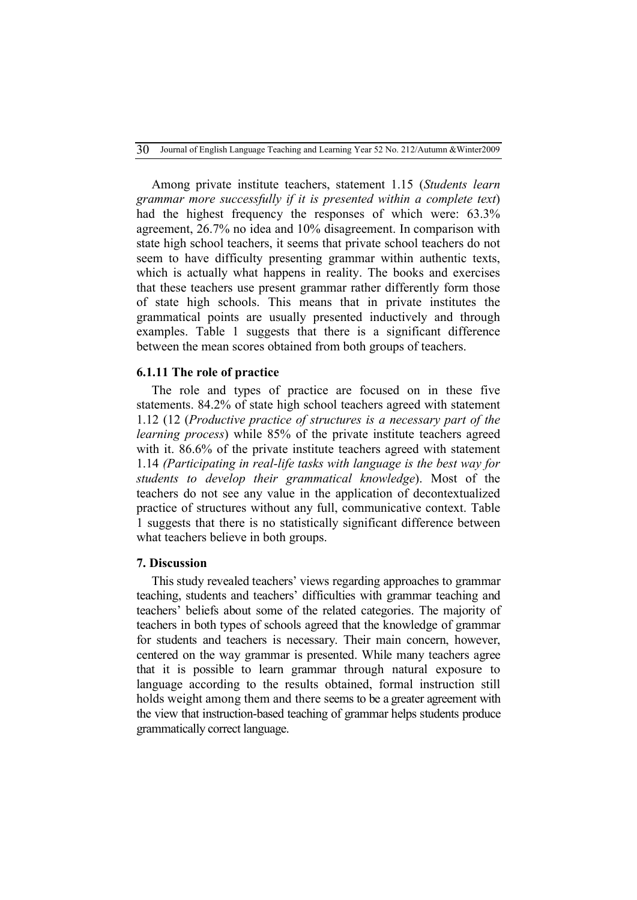Among private institute teachers, statement 1.15 (*Students learn grammar more successfully if it is presented within a complete text*) had the highest frequency the responses of which were:  $63.3\%$ agreement, 26.7% no idea and 10% disagreement. In comparison with state high school teachers, it seems that private school teachers do not seem to have difficulty presenting grammar within authentic texts, which is actually what happens in reality. The books and exercises that these teachers use present grammar rather differently form those of state high schools. This means that in private institutes the grammatical points are usually presented inductively and through examples. Table 1 suggests that there is a significant difference between the mean scores obtained from both groups of teachers.

# **6.1.11 The role of practice**

The role and types of practice are focused on in these five statements. 84.2% of state high school teachers agreed with statement 1.12 (12 (*Productive practice of structures is a necessary part of the learning process*) while 85% of the private institute teachers agreed with it. 86.6% of the private institute teachers agreed with statement 1.14 *(Participating in real-life tasks with language is the best way for students to develop their grammatical knowledge*). Most of the teachers do not see any value in the application of decontextualized practice of structures without any full, communicative context. Table 1 suggests that there is no statistically significant difference between what teachers believe in both groups.

### **7. Discussion**

This study revealed teachers' views regarding approaches to grammar teaching, students and teachers' difficulties with grammar teaching and teachers' beliefs about some of the related categories. The majority of teachers in both types of schools agreed that the knowledge of grammar for students and teachers is necessary. Their main concern, however, centered on the way grammar is presented. While many teachers agree that it is possible to learn grammar through natural exposure to language according to the results obtained, formal instruction still holds weight among them and there seems to be a greater agreement with the view that instruction-based teaching of grammar helps students produce grammatically correct language.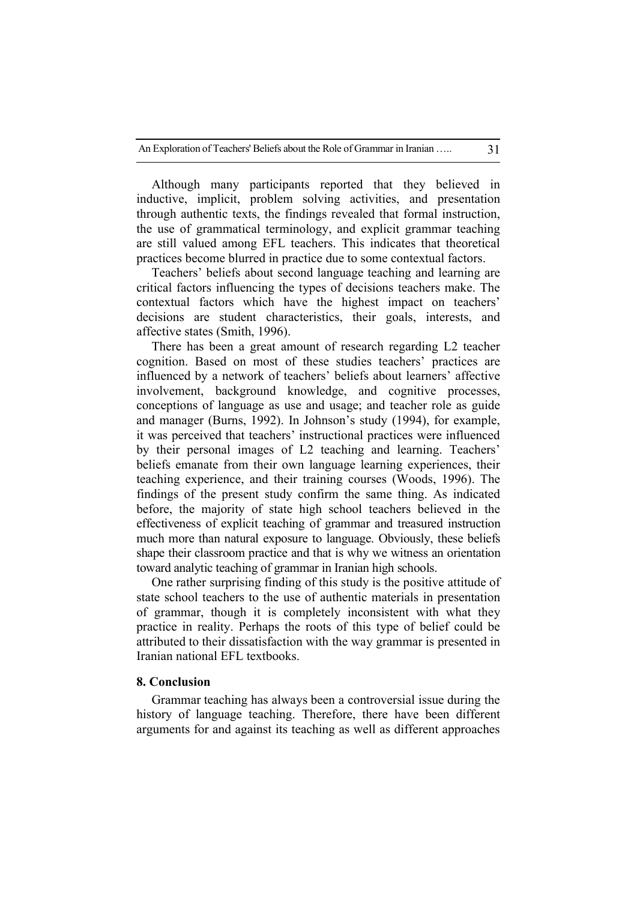Although many participants reported that they believed in inductive, implicit, problem solving activities, and presentation through authentic texts, the findings revealed that formal instruction, the use of grammatical terminology, and explicit grammar teaching are still valued among EFL teachers. This indicates that theoretical practices become blurred in practice due to some contextual factors.

Teachers' beliefs about second language teaching and learning are critical factors influencing the types of decisions teachers make. The contextual factors which have the highest impact on teachers' decisions are student characteristics, their goals, interests, and affective states (Smith, 1996).

There has been a great amount of research regarding L2 teacher cognition. Based on most of these studies teachers' practices are influenced by a network of teachers' beliefs about learners' affective involvement, background knowledge, and cognitive processes, conceptions of language as use and usage; and teacher role as guide and manager (Burns, 1992). In Johnson's study (1994), for example, it was perceived that teachers' instructional practices were influenced by their personal images of L2 teaching and learning. Teachers' beliefs emanate from their own language learning experiences, their teaching experience, and their training courses (Woods, 1996). The findings of the present study confirm the same thing. As indicated before, the majority of state high school teachers believed in the effectiveness of explicit teaching of grammar and treasured instruction much more than natural exposure to language. Obviously, these beliefs shape their classroom practice and that is why we witness an orientation toward analytic teaching of grammar in Iranian high schools.

One rather surprising finding of this study is the positive attitude of state school teachers to the use of authentic materials in presentation of grammar, though it is completely inconsistent with what they practice in reality. Perhaps the roots of this type of belief could be attributed to their dissatisfaction with the way grammar is presented in Iranian national EFL textbooks.

# **8. Conclusion**

Grammar teaching has always been a controversial issue during the history of language teaching. Therefore, there have been different arguments for and against its teaching as well as different approaches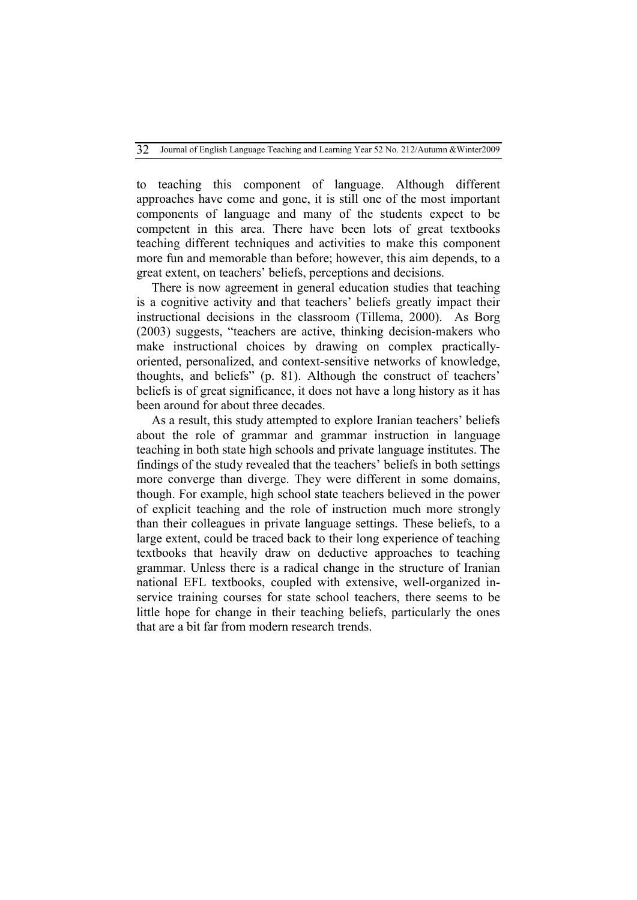to teaching this component of language. Although different approaches have come and gone, it is still one of the most important components of language and many of the students expect to be competent in this area. There have been lots of great textbooks teaching different techniques and activities to make this component more fun and memorable than before; however, this aim depends, to a great extent, on teachers' beliefs, perceptions and decisions.

There is now agreement in general education studies that teaching is a cognitive activity and that teachers' beliefs greatly impact their instructional decisions in the classroom (Tillema, 2000). As Borg (2003) suggests, "teachers are active, thinking decision-makers who make instructional choices by drawing on complex practicallyoriented, personalized, and context-sensitive networks of knowledge, thoughts, and beliefs" (p. 81). Although the construct of teachers' beliefs is of great significance, it does not have a long history as it has been around for about three decades.

As a result, this study attempted to explore Iranian teachers' beliefs about the role of grammar and grammar instruction in language teaching in both state high schools and private language institutes. The findings of the study revealed that the teachers' beliefs in both settings more converge than diverge. They were different in some domains, though. For example, high school state teachers believed in the power of explicit teaching and the role of instruction much more strongly than their colleagues in private language settings. These beliefs, to a large extent, could be traced back to their long experience of teaching textbooks that heavily draw on deductive approaches to teaching grammar. Unless there is a radical change in the structure of Iranian national EFL textbooks, coupled with extensive, well-organized inservice training courses for state school teachers, there seems to be little hope for change in their teaching beliefs, particularly the ones that are a bit far from modern research trends.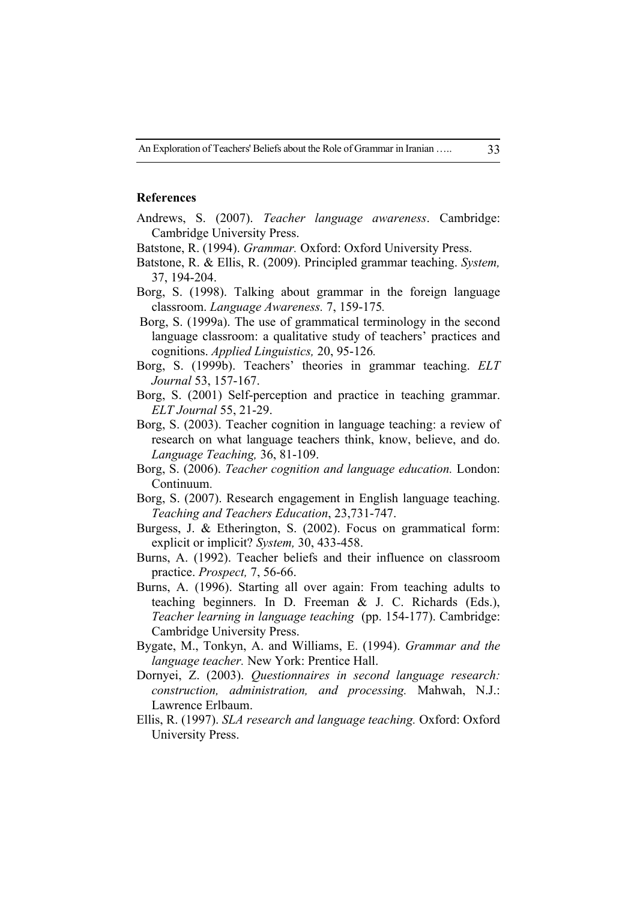#### **References**

- Andrews, S. (2007). *Teacher language awareness*. Cambridge: Cambridge University Press.
- Batstone, R. (1994). *Grammar.* Oxford: Oxford University Press.
- Batstone, R. & Ellis, R. (2009). Principled grammar teaching. *System,*  37, 194-204.
- Borg, S. (1998). Talking about grammar in the foreign language classroom. *Language Awareness.* 7, 159-175*.*
- Borg, S. (1999a). The use of grammatical terminology in the second language classroom: a qualitative study of teachers' practices and cognitions. *Applied Linguistics,* 20, 95-126*.*
- Borg, S. (1999b). Teachers' theories in grammar teaching. *ELT Journal* 53, 157-167.
- Borg, S. (2001) Self-perception and practice in teaching grammar. *ELT Journal* 55, 21-29.
- Borg, S. (2003). Teacher cognition in language teaching: a review of research on what language teachers think, know, believe, and do. *Language Teaching,* 36, 81-109.
- Borg, S. (2006). *Teacher cognition and language education.* London: Continuum.
- Borg, S. (2007). Research engagement in English language teaching. *Teaching and Teachers Education*, 23,731-747.
- Burgess, J. & Etherington, S. (2002). Focus on grammatical form: explicit or implicit? *System,* 30, 433-458.
- Burns, A. (1992). Teacher beliefs and their influence on classroom practice. *Prospect,* 7, 56-66.
- Burns, A. (1996). Starting all over again: From teaching adults to teaching beginners. In D. Freeman & J. C. Richards (Eds.), *Teacher learning in language teaching* (pp. 154-177). Cambridge: Cambridge University Press.
- Bygate, M., Tonkyn, A. and Williams, E. (1994). *Grammar and the language teacher.* New York: Prentice Hall.
- Dornyei, Z. (2003). *Questionnaires in second language research: construction, administration, and processing.* Mahwah, N.J.: Lawrence Erlbaum.
- Ellis, R. (1997). *SLA research and language teaching.* Oxford: Oxford University Press.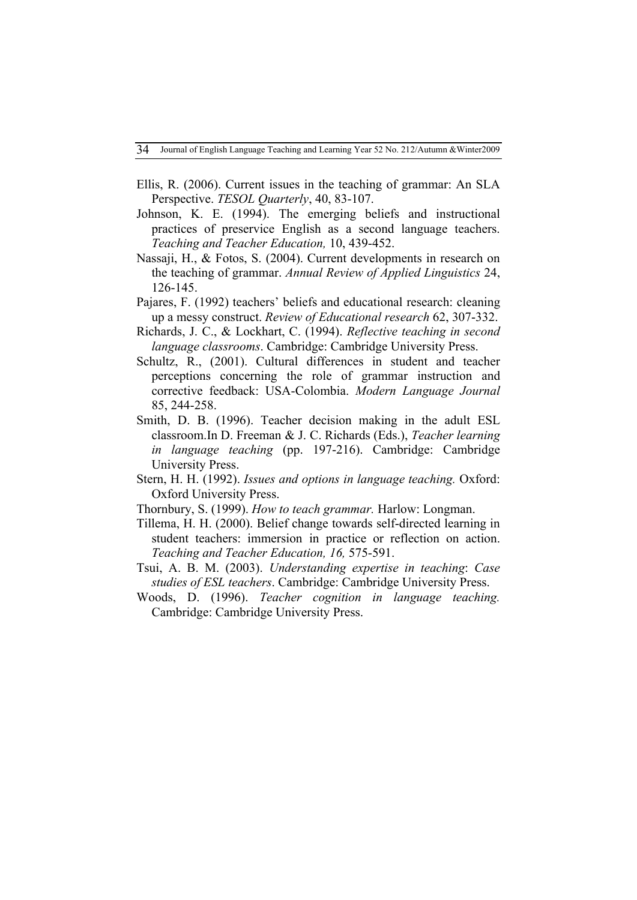- Ellis, R. (2006). Current issues in the teaching of grammar: An SLA Perspective. *TESOL Quarterly*, 40, 83-107.
- Johnson, K. E. (1994). The emerging beliefs and instructional practices of preservice English as a second language teachers. *Teaching and Teacher Education,* 10, 439-452.
- Nassaji, H., & Fotos, S. (2004). Current developments in research on the teaching of grammar. *Annual Review of Applied Linguistics* 24, 126-145.
- Pajares, F. (1992) teachers' beliefs and educational research: cleaning up a messy construct. *Review of Educational research* 62, 307-332.
- Richards, J. C., & Lockhart, C. (1994). *Reflective teaching in second language classrooms*. Cambridge: Cambridge University Press.
- Schultz, R., (2001). Cultural differences in student and teacher perceptions concerning the role of grammar instruction and corrective feedback: USA-Colombia. *Modern Language Journal* 85, 244-258.
- Smith, D. B. (1996). Teacher decision making in the adult ESL classroom.In D. Freeman & J. C. Richards (Eds.), *Teacher learning in language teaching* (pp. 197-216). Cambridge: Cambridge University Press.
- Stern, H. H. (1992). *Issues and options in language teaching.* Oxford: Oxford University Press.
- Thornbury, S. (1999). *How to teach grammar.* Harlow: Longman.
- Tillema, H. H. (2000). Belief change towards self-directed learning in student teachers: immersion in practice or reflection on action. *Teaching and Teacher Education, 16,* 575-591.
- Tsui, A. B. M. (2003). *Understanding expertise in teaching*: *Case studies of ESL teachers*. Cambridge: Cambridge University Press.
- Woods, D. (1996). *Teacher cognition in language teaching.* Cambridge: Cambridge University Press.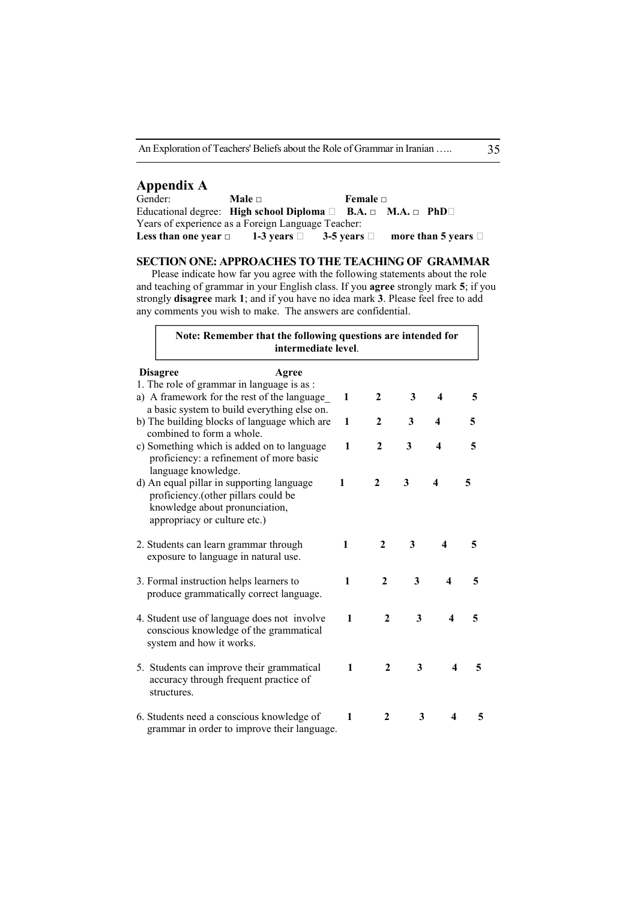An Exploration of Teachers' Beliefs about the Role of Grammar in Iranian ..... 35

# **Appendix A**

 $\mathbf{r}$ 

| Gender:                   | <b>Male</b> $\sqcap$                                                              | Female $\Box$ |                          |
|---------------------------|-----------------------------------------------------------------------------------|---------------|--------------------------|
|                           | Educational degree: High school Diploma $\Box$ B.A. $\Box$ M.A. $\Box$ PhD $\Box$ |               |                          |
|                           | Years of experience as a Foreign Language Teacher:                                |               |                          |
| Less than one year $\Box$ | 1-3 years $\Box$ 3-5 years $\Box$                                                 |               | more than 5 years $\Box$ |

### **SECTION ONE: APPROACHES TO THE TEACHING OF GRAMMAR**

Please indicate how far you agree with the following statements about the role and teaching of grammar in your English class. If you **agree** strongly mark **5**; if you strongly **disagree** mark **1**; and if you have no idea mark **3**. Please feel free to add any comments you wish to make. The answers are confidential.

| Note: Remember that the following questions are intended for                                                                                        | intermediate level. |   |                |   |                         |   |
|-----------------------------------------------------------------------------------------------------------------------------------------------------|---------------------|---|----------------|---|-------------------------|---|
| <b>Disagree</b><br>1. The role of grammar in language is as :                                                                                       | Agree               |   |                |   |                         |   |
| a) A framework for the rest of the language<br>a basic system to build everything else on.                                                          |                     | 1 | $\overline{2}$ | 3 | $\overline{\mathbf{4}}$ | 5 |
| b) The building blocks of language which are<br>combined to form a whole.                                                                           |                     | 1 | $\mathbf{2}$   | 3 | 4                       | 5 |
| c) Something which is added on to language<br>proficiency: a refinement of more basic<br>language knowledge.                                        |                     | 1 | $\mathbf{2}$   | 3 | 4                       | 5 |
| d) An equal pillar in supporting language<br>proficiency. (other pillars could be<br>knowledge about pronunciation,<br>appropriacy or culture etc.) |                     | 1 | $\mathbf{2}$   | 3 | 4                       | 5 |
| 2. Students can learn grammar through<br>exposure to language in natural use.                                                                       |                     | 1 | $\mathbf{2}$   | 3 | 4                       | 5 |
| 3. Formal instruction helps learners to<br>produce grammatically correct language.                                                                  |                     | 1 | $\mathbf{2}$   | 3 | $\overline{\mathbf{4}}$ | 5 |
| 4. Student use of language does not involve<br>conscious knowledge of the grammatical<br>system and how it works.                                   |                     | 1 | $\mathbf{2}$   | 3 | $\overline{\mathbf{4}}$ | 5 |
| 5. Students can improve their grammatical<br>accuracy through frequent practice of<br>structures.                                                   |                     | 1 | $\mathbf{2}$   | 3 | $\overline{\mathbf{4}}$ | 5 |
| 6. Students need a conscious knowledge of                                                                                                           |                     | 1 | 2              | 3 | 4                       | 5 |

grammar in order to improve their language.

 $\overline{\phantom{0}}$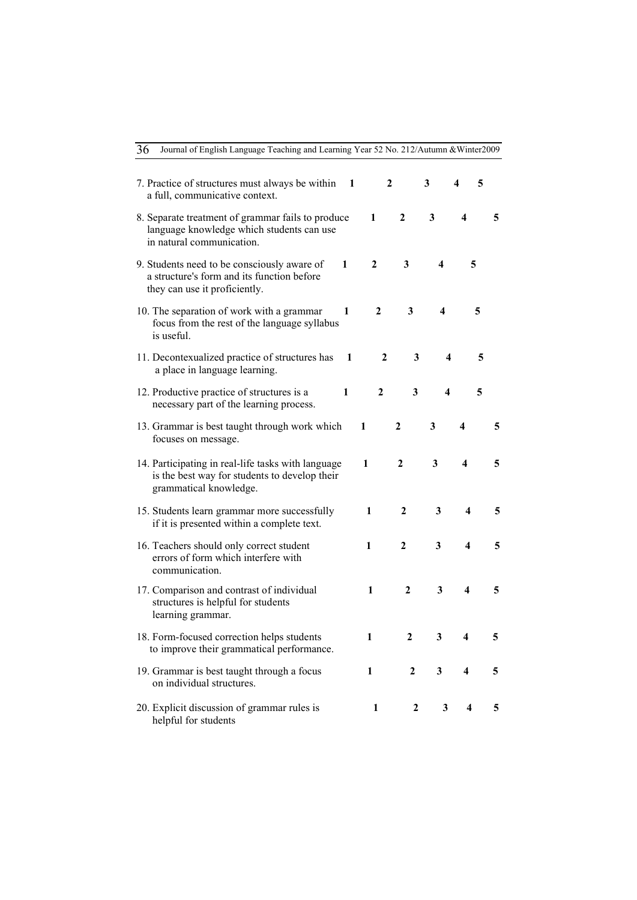| a full, communicative context.<br>8. Separate treatment of grammar fails to produce                                           |              |              | 2                | 3            | 4 | 5  |
|-------------------------------------------------------------------------------------------------------------------------------|--------------|--------------|------------------|--------------|---|----|
| language knowledge which students can use<br>in natural communication.                                                        |              | $\mathbf{1}$ | 2                | 3            | 4 | 5. |
| 9. Students need to be consciously aware of<br>a structure's form and its function before<br>they can use it proficiently.    | 1            | $\mathbf{2}$ | 3                | 4            | 5 |    |
| 10. The separation of work with a grammar<br>focus from the rest of the language syllabus<br>is useful.                       | 1            | $\mathbf{2}$ | 3                | 4            | 5 |    |
| 11. Decontexualized practice of structures has<br>a place in language learning.                                               | 1            | 2            | 3                | 4            |   | 5  |
| 12. Productive practice of structures is a<br>necessary part of the learning process.                                         | $\mathbf{1}$ | $\mathbf{2}$ | 3                | 4            | 5 |    |
| 13. Grammar is best taught through work which<br>focuses on message.                                                          |              | 1            | $\mathbf{2}$     | 3            | 4 | 5  |
| 14. Participating in real-life tasks with language<br>is the best way for students to develop their<br>grammatical knowledge. |              | 1            | 2                | 3            | 4 | 5  |
| 15. Students learn grammar more successfully<br>if it is presented within a complete text.                                    |              | 1            | $\mathbf{2}$     | 3            | 4 | 5  |
| 16. Teachers should only correct student<br>errors of form which interfere with<br>communication.                             |              | $\mathbf{1}$ | $\boldsymbol{2}$ | 3            | 4 | 5  |
| 17. Comparison and contrast of individual<br>structures is helpful for students<br>learning grammar.                          |              | 1            | $\mathbf{2}$     | 3            | 4 | 5  |
| 18. Form-focused correction helps students<br>to improve their grammatical performance.                                       |              | $\mathbf{1}$ | 2                | 3            | 4 | 5  |
| 19. Grammar is best taught through a focus<br>on individual structures.                                                       |              | $\mathbf{1}$ | $\mathbf{2}$     | 3            | 4 | 5  |
| 20. Explicit discussion of grammar rules is<br>helpful for students                                                           |              | 1            | $\overline{2}$   | $\mathbf{3}$ | 4 | 5  |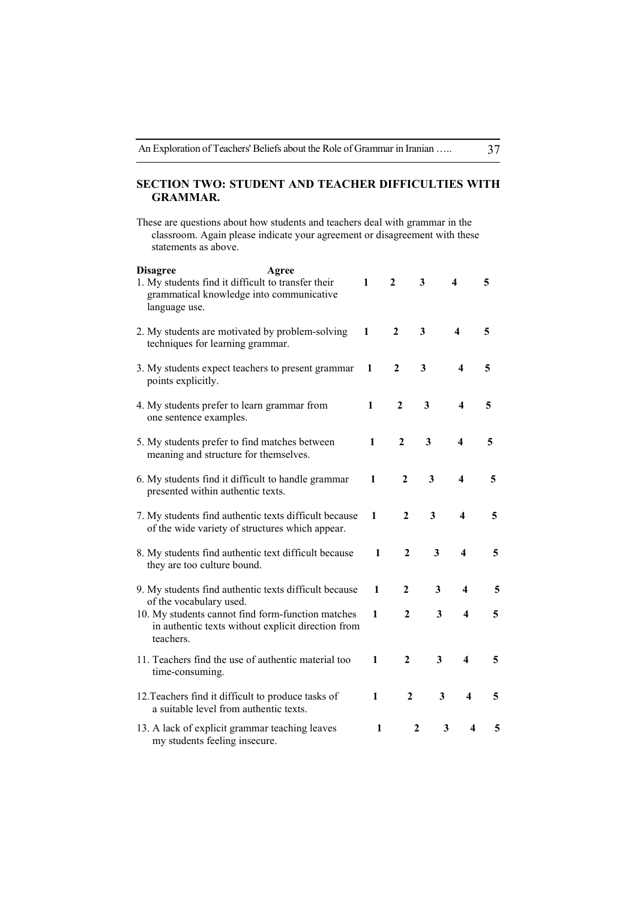# **SECTION TWO: STUDENT AND TEACHER DIFFICULTIES WITH GRAMMAR.**

These are questions about how students and teachers deal with grammar in the classroom. Again please indicate your agreement or disagreement with these statements as above.

| <b>Disagree</b><br>Agree<br>1. My students find it difficult to transfer their<br>grammatical knowledge into communicative<br>language use.     | $\mathbf{1}$ | $\mathbf{2}$     | 3            | 4                       | 5 |
|-------------------------------------------------------------------------------------------------------------------------------------------------|--------------|------------------|--------------|-------------------------|---|
| 2. My students are motivated by problem-solving<br>techniques for learning grammar.                                                             | 1            | $\boldsymbol{2}$ | $\mathbf{3}$ | $\overline{\mathbf{4}}$ | 5 |
| 3. My students expect teachers to present grammar<br>points explicitly.                                                                         | $\mathbf{1}$ | $\mathbf{2}$     | 3            | 4                       | 5 |
| 4. My students prefer to learn grammar from<br>one sentence examples.                                                                           | 1            | $\mathbf{2}$     | 3            | 4                       | 5 |
| 5. My students prefer to find matches between<br>meaning and structure for themselves.                                                          | 1            | $\mathbf{2}$     | 3            | 4                       | 5 |
| 6. My students find it difficult to handle grammar<br>presented within authentic texts.                                                         | 1            | $\mathbf{2}$     | 3            | 4                       | 5 |
| 7. My students find authentic texts difficult because<br>of the wide variety of structures which appear.                                        | 1            | 2                | 3            | 4                       | 5 |
| 8. My students find authentic text difficult because<br>they are too culture bound.                                                             | $\mathbf{1}$ | $\mathbf{2}$     | 3            | $\overline{\mathbf{4}}$ | 5 |
| 9. My students find authentic texts difficult because                                                                                           | 1            | $\mathbf{2}$     | 3            | 4                       | 5 |
| of the vocabulary used.<br>10. My students cannot find form-function matches<br>in authentic texts without explicit direction from<br>teachers. | 1            | $\mathbf{2}$     | 3            | $\overline{\mathbf{4}}$ | 5 |
| 11. Teachers find the use of authentic material too<br>time-consuming.                                                                          | 1            | $\boldsymbol{2}$ | 3            | $\overline{\mathbf{4}}$ | 5 |
| 12. Teachers find it difficult to produce tasks of<br>a suitable level from authentic texts.                                                    | $\mathbf{1}$ | $\mathbf{2}$     | $\mathbf{3}$ | $\overline{\mathbf{4}}$ | 5 |
| 13. A lack of explicit grammar teaching leaves<br>my students feeling insecure.                                                                 | 1            |                  | $\mathbf{2}$ | 3<br>4                  | 5 |